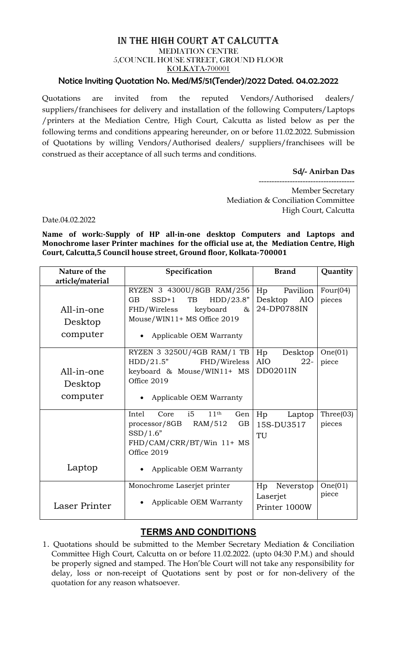## IN THE HIGH COURT AT CALCUTTA MEDIATION CENTRE 5,COUNCIL HOUSE STREET, GROUND FLOOR KOLKATA-700001

## Notice Inviting Quotation No. Med/MS/51(Tender)/2022 Dated. 04.02.2022

Quotations are invited from the reputed Vendors/Authorised dealers/ suppliers/franchisees for delivery and installation of the following Computers/Laptops /printers at the Mediation Centre, High Court, Calcutta as listed below as per the following terms and conditions appearing hereunder, on or before 11.02.2022. Submission of Quotations by willing Vendors/Authorised dealers/ suppliers/franchisees will be construed as their acceptance of all such terms and conditions.

**Sd/- Anirban Das**

-------------------------------------

Member Secretary Mediation & Conciliation Committee High Court, Calcutta

Date.04.02.2022

**Name of work:-Supply of HP all-in-one desktop Computers and Laptops and Monochrome laser Printer machines for the official use at, the Mediation Centre, High Court, Calcutta,5 Council house street, Ground floor, Kolkata-700001**

| Nature of the                                         | Specification                                                                                                                                                      | <b>Brand</b>                                      | Quantity               |
|-------------------------------------------------------|--------------------------------------------------------------------------------------------------------------------------------------------------------------------|---------------------------------------------------|------------------------|
| article/material<br>All-in-one<br>Desktop<br>computer | RYZEN 3 4300U/8GB RAM/256<br>HDD/23.8"<br>GB<br>$SSD+1$<br>TB<br>FHD/Wireless<br>keyboard<br>85<br>Mouse/WIN11+ MS Office 2019<br>Applicable OEM Warranty          | Pavilion<br>Hp<br>Desktop<br>AIO<br>24-DP0788IN   | Four( $04$ )<br>pieces |
| All-in-one<br>Desktop<br>computer                     | RYZEN 3 3250U/4GB RAM/1 TB<br>HDD/21.5"<br>FHD/Wireless<br>keyboard & Mouse/WIN11+ MS<br>Office 2019<br>Applicable OEM Warranty                                    | Desktop<br>Hp<br>AIO<br>$22 -$<br><b>DD0201IN</b> | One(01)<br>piece       |
| Laptop                                                | i5<br>11 <sup>th</sup><br>Intel<br>Core<br>Gen<br>GB<br>$processor/8GB$ RAM/512<br>SSD/1.6"<br>FHD/CAM/CRR/BT/Win 11+ MS<br>Office 2019<br>Applicable OEM Warranty | Hp<br>Laptop<br>15S-DU3517<br>TU                  | Three(03)<br>pieces    |
| Laser Printer                                         | Monochrome Laserjet printer<br>Applicable OEM Warranty                                                                                                             | Hp<br>Neverstop<br>Laserjet<br>Printer 1000W      | One(01)<br>piece       |

## **TERMS AND CONDITIONS**

1. Quotations should be submitted to the Member Secretary Mediation & Conciliation Committee High Court, Calcutta on or before 11.02.2022. (upto 04:30 P.M.) and should be properly signed and stamped. The Hon'ble Court will not take any responsibility for delay, loss or non-receipt of Quotations sent by post or for non-delivery of the quotation for any reason whatsoever.